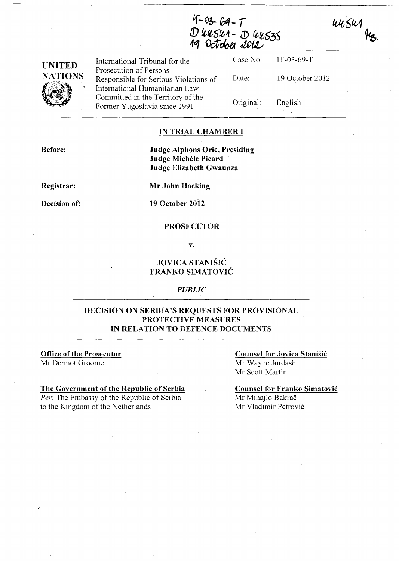unsur  $\mu_{\mathcal{B}}$ 

 $4 - 03 - 69 - 7$ D UUSU1 - D UUS35<br>19 October 2012



International Tribunal for the Prosecution of Persons Responsible for Serious Violations of International Humanitarian Law Committed in the Territory of the Former Yugoslavia since 1991

Case No. Date: Original: IT-03-69-T 19 October 2012

English

#### IN TRIAL CHAMBER I

Before:

Judge Alphons Orie, Presiding Judge Michele Picard Judge Elizabeth Gwaunza

Registrar:

Mr John Hocking

Decision of:

19 October 2012

#### PROSECUTOR

v.

## JOVICA STANIŠIĆ FRANKO SIMATOVIC

#### *PUBLIC*

## DECISION ON SERBIA'S REQUESTS FOR PROVISIONAL PROTECTIVE MEASURES IN RELATION TO DEFENCE DOCUMENTS

Office of the Prosecutor

Mr Dermot Groome

#### The Government of the Republic of Serbia

*Per:* The Embassy of the Republic of Serbia to the Kingdom of the Netherlands

Counsel for Jovica Stanisic Mr Wayne lordash

Mr Scott Martin

Counsel for Franko Simatovic Mr Mihajlo Bakrač Mr Vladimir Petrović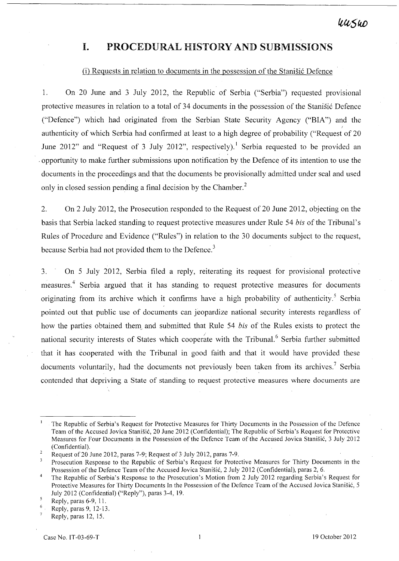# **I. PROCEDURAL HISTORY AND SUBMISSIONS**

#### $(i)$  Requests in relation to documents in the possession of the Stanisic Defence

1. On 20 June and 3 July 2012, the Republic of Serbia ("Serbia") requested provisional protective measures in relation to a total of 34 documents in the possession of the Stanistic Defence ("Defence") which had originated from the Serbian State Security Agency ("BIA") and the I authenticity of which Serbia had confirmed at least to a high degree of probability ("Request of 20 June 2012" and "Request of 3 July 2012", respectively).<sup>1</sup> Serbia requested to be provided an . opportunity to make further submissions upon notification by the Defence of its intention to use the documents in the proceedings and that the documents be provisionally admitted under seal and used only in closed session pending a final decision by the Chamber.<sup>2</sup>

2. On 2 July 2012, the Prosecution responded to the Request of 20 June 2012, objecting on the basis that Serbia lacked standing to request protective measures under Rule 54 *bis* of the Tribunal's Rules of Procedure and Evidence ("Rules") in relation to the 30 documents subject to the request, because Serbia had not provided them to the Defence.<sup>3</sup>

3. On 5 July 2012, Serbia filed a reply, reiterating its request for provisional protective measures.<sup>4</sup> Serbia argued that it has standing to request protective measures for documents originating from its archive which it confirms have a high probability of authenticity.<sup>5</sup> Serbia pointed out that public use of documents can jeopardize national security interests regardless of how the parties obtained them and submitted that Rule 54 *bis* of the Rules exists to protect the national security interests of States which cooperate with the Tribunal.<sup>6</sup> Serbia further submitted that it has cooperated with the Tribunal in good faith and that it would have provided these documents voluntarily, had the documents not previously been taken from its archives.<sup>7</sup> Serbia contended that depriving a State of standing to request protective measures where documents are

Reply, paras 12, 15.

The Republic of Serbia's Request for Protective Measures for Thirty Documents in the Possession of the Defence Team of the Accused Jovica Stanišić, 20 June 2012 (Confidential); The Republic of Serbia's Request for Protective Measures for Four Documents in the Possession of the Defence Team of the Accused Jovica Stanisi6, 3 July 2012 (Confidential).

 $\overline{2}$ Request of 20 June 2012, paras 7-9; Request of 3 July 2012, paras 7-9.

 $\overline{\mathbf{3}}$ Prosecution Response to the Republic of Serbia's Request for Protective Measures for Thirty Documents in the Possession of the Defence Team of the Accused Jovica Stanišić, 2 July 2012 (Confidential), paras 2, 6.

 $\overline{4}$ The Republic of Serbia's Response to the Prosecution's Motion from 2 July 2012 regarding Serbia's Request for Protective Measures for Thirty Documents In the Possession of the Defence Team of the Accused Jovica Stanišić, 5 July 2012 (Confidential) ("Reply"), paras 3-4, 19.

 $\overline{\mathbf{5}}$ Reply, paras 6-9, 11.

 $6<sub>1</sub>$ Reply, paras 9,12-13.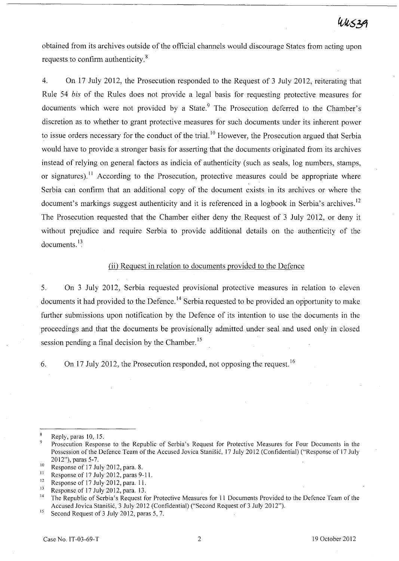obtained from its archives outside of the official channels would discourage States from acting upon requests to confirm authenticity. $8$ 

4. On 17 July 2012, the Prosecution responded to the Request of 3 July 2012, reiterating that Rule 54 *bis* of the Rules does not provide a legal basis for requesting protective measures for documents which were not provided by a State.<sup>9</sup> The Prosecution deferred to the Chamber's discretion as to whether to grant protective measures for such documents under its inherent power to issue orders necessary for the conduct of the trial.<sup>10</sup> However, the Prosecution argued that Serbia would have to provide a stronger basis for asserting that the documents originated from its archives instead of relying on general factors as indicia of authenticity (such as seals, log numbers, stamps, or signatures).<sup>11</sup> According to the Prosecution, protective measures could be appropriate where Serbia can confirm that an additional copy of the document exists in its archives or where the document's markings suggest authenticity and it is referenced in a logbook in Serbia's archives.<sup>12</sup> The Prosecution requested that the Chamber either deny the Request of 3 July 2012, or deny it without prejudice and require Serbia to provide additional details on the authenticity of the documents. $^{13}$ 

### (ii) Request in relation to documents provided to the Defence

5. On 3 July 2012, Serbia requested provisional protective measures in relation to eleven documents it had provided to the Defence.<sup>14</sup> Serbia requested to be provided an opportunity to make further submissions upon notification by the Defence of its intention to use the documents in the proceedings and that the documents be provisionally admitted under seal and used only in closed session pending a final decision by the Chamber.<sup>15</sup>

6. On 17 July 2012, the Prosecution responded, not opposing the request. <sup>16</sup>

 $\boldsymbol{8}$ Reply, paras 10, 15.

<sup>&</sup>lt;sup>9</sup> Prosecution Response to the Republic of Serbia's Request for Protective Measures for Four Documents in the Possession of the Defence Team of the Accused Jovica Stanisic, 17 July 2012 (Confidential) ("Response of 17 July 2012"), paras 5-7.

<sup>&</sup>lt;sup>10</sup> Response of 17 July 2012, para. 8.<br><sup>11</sup> Penonse of 17 July 2012, paras. 9.

<sup>&</sup>lt;sup>11</sup> Response of 17 July 2012, paras 9-11.

<sup>&</sup>lt;sup>12</sup> Response of 17 July 2012, para. 11.<br><sup>13</sup> Response of 17 July 2012, para. 13.

<sup>&</sup>lt;sup>13</sup> Response of 17 July 2012, para. 13.<br><sup>14</sup> The Bopyblic of Sorbic's Boquest for

<sup>14</sup> The Republic of Serbia's Request for Protective Measures for 11 Documents Provided to the Defence Team of the Accused Jovica Stanisic, 3 July 2012 (Confidential) ("Second Request of 3 July 2012").

<sup>&</sup>lt;sup>15</sup> Second Request of 3 July 2012, paras  $5, 7$ .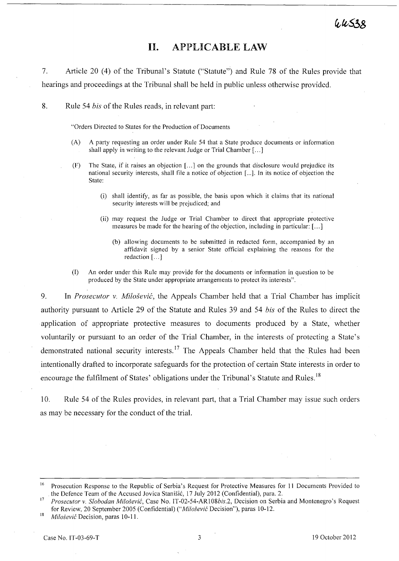# **11. APPLICABLE LAW**

7. Article 20 (4) of the Tribunal's Statute ("Statute") and Rule 78 of the Rules provide that hearings and proceedings at the Tribunal shall be held in public unless otherwise provided.

8. Rule 54 *bis* of the Rules reads, in relevant part:

"Orders Directed to States for the Production of Documents

- CA) A party requesting an order under Rule 54 that a State produce documents or information shall apply in writing to the relevant Judge or Trial Chamber [ ... ]
- $(F)$  The State, if it raises an objection  $[...]$  on the grounds that disclosure would prejudice its national security interests, shall file a notice of objection [...]. In its notice of objection the State:
	- (i) shall identify, as far as possible, the basis upon which it claims that its national security interests will be prejudiced; and
	- (ii) may request the Judge or Trial Chamber to direct that appropriate protective measures be made for the hearing of the objection, including in particular: [ ... ]
		- (b) allowing documents .to be submitted in redacted form, accompanied by an affidavit signed by a senior State official explaining the reasons for the redaction [...]
- (l) An order under this Rule may provide for the documents or information in question to be produced by the State under appropriate arrangements to protect its interests".

9. In *Prosecutor* v. *Milosevic,* the Appeals Chamber held that a Trial Chamber has implicit authority pursuant to Article 29 of the Statute and Rules 39 and 54 *bis* of the Rules to direct the application of appropriate protective measures to documents produced by a State, whether voluntarily or pursuant to an order of the Trial Chamber, in the interests of protecting a State's demonstrated national security interests.<sup>17</sup> The Appeals Chamber held that the Rules had been intentionally drafted to incorporate safeguards for the protection of certain State interests in order to encourage the fulfilment of States' obligations under the Tribunal's Statute and Rules.<sup>18</sup>

10. Rule 54 of the Rules provides, in relevant part, that a Trial Chamber may issue such orders as may be necessary for the conduct of the trial.

<sup>&</sup>lt;sup>16</sup> Prosecution Response to the Republic of Serbia's Request for Protective Measures for 11 Documents Provided to the Defence Team of the Accused Jovica Stanisic, 17 July 2012 (Confidential), para. 2.

<sup>17</sup>*Prosecutor* v. *Slobodan Milosevic,* Case No. IT-02-54-ARI08bis.2, Decision on Serbia and Montenegro's Request for Review, 20 September 2005 (Confidential) *("Milosevic* Decision"), paras 1 0-12.

<sup>&</sup>lt;sup>18</sup> Milošević Decision, paras 10-11.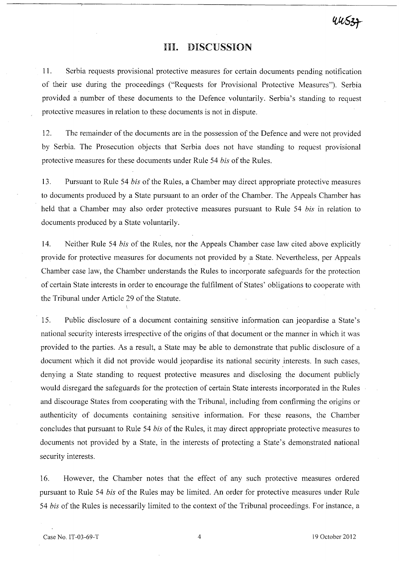## Ill. DISCUSSION

11. Serbia requests provisional protective measures for certain documents pending notification of their use during the proceedings ("Requests for Provisional Protective Measures"). Serbia provided a number of these documents to the Defence voluntarily. Serbia's standing to request protective measures in relation to these documents is not in dispute.

12. The remainder of the documents are in the possession of the Defence and were not provided by Serbia. The Prosecution objects that Serbia does not have standing to request provisional protective measures for these documents under Rule 54 *bis* of the Rules.

13. Pursuant to Rule 54 *bis* of the Rules, a Chamber may direct appropriate protective measures to documents produced by a State pursuant to an order of the Chamber. The Appeals Chamber has held that a Chamber may also order protective measures pursuant to Rule 54 *bis* in relation to documents produced by a State voluntarily.

14. Neither Rule 54 *bis* of the Rules, nor the Appeals Chamber case law cited above explicitly provide for protective measures for documents not provided by a State. Nevertheless, per Appeals Chamber case law, the Chamber understands the Rules to incorporate safeguards for the protection of certain State interests in order to encourage the fulfilment of States' obligations to cooperate with the Tribunal under Article 29 of the Statute.

15. Public disclosure of a document containing sensitive information can jeopardise a State's national security interests irrespective of the origins of that document or the manner in which it was provided to the parties. As a result, a State may be able to demonstrate that public disclosure of a document which it did not provide would jeopardise its national security interests. In such cases, denying a State standing to request protective measures and disclosing the document publicly would disregard the safeguards for the protection of certain State interests incorporated in the Rules and discourage States from cooperating with the Tribunal, including from confirming the origins or authenticity of documents containing sensitive information. For these reasons, the Chamber concludes that pursuant to Rule 54 *bis* of the Rules, it may direct appropriate protective measures to documents not provided by a State, in the interests of protecting a State's demonstrated national security interests.

16. However, the Chamber notes that the effect of any such protective measures ordered pursuant to Rule 54 *bis* of the Rules may be limited. An order for protective measures under Rule *54 bis* of the Rules is necessarily limited to the context of the Tribunal proceedings. For instance, a

 $4453 +$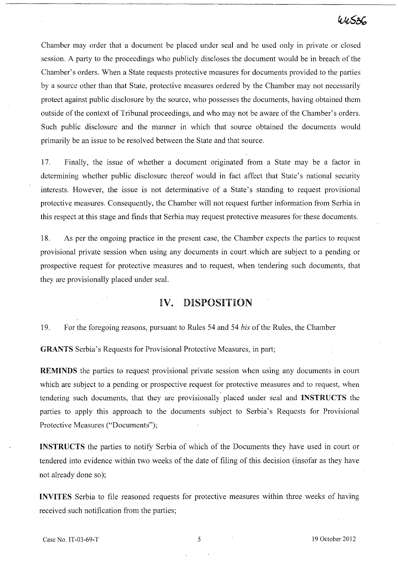# $44536$

Chamber may order that a document be placed under seal and be used only in private or closed session. A party to the proceedings who publicly discloses the document would be in breach of the Chamber's orders. When a State requests protective measures for documents provided to the parties by a source other than that State, protective measures ordered by the Chamber may not necessarily protect against public disclosure by the source, who possesses the documents, having obtained them outside of the context of Tribunal proceedings, and who may not be aware of the Chamber's orders. Such public disclosure and the manner in which that source obtained the documents would primarily be an issue to be resolved between the State and that source.

17. Finally, the issue of whether a document originated from a State may be a factor in determining whether public disclosure thereof would in fact affect that State's national security interests. However, the issue is not determinative of a State's standing to request provisional protective measures. Consequently, the Chamber will not request further information from Serbia in this respect at this stage and finds that Serbia may request protective measures for these documents.

18. As per the ongoing practice in the present case, the Chamber expects the parties to request provisional private session when using any documents in court,which are subject to a pending or prospective request for protective measures and to request, when tendering such documents, that they are provisionally placed under seal.

## IV. DISPOSITION

19. For the foregoing reasons, pursuant to Rules 54 and 54 *bis* of the Rules, the Chamber

GRANTS Serbia's Requests for Provisional Protective Measures, in part;

REMINDS the parties to request provisional private session when using any documents in court which are subject to a pending or prospective request for protective measures and to request, when tendering such documents, that they are provisionally placed under seal and INSTRUCTS the parties to apply this approach to the documents subject to Serbia's Requests for Provisional Protective Measures ("Documents");

INSTRUCTS the parties to notify Serbia of which of the Documents they have used in court or tendered into evidence within two weeks of the date of filing of this decision (insofar as they have not already done so);

INVITES Serbia to file reasoned requests for protective measures within three weeks of having received such notification from the parties;